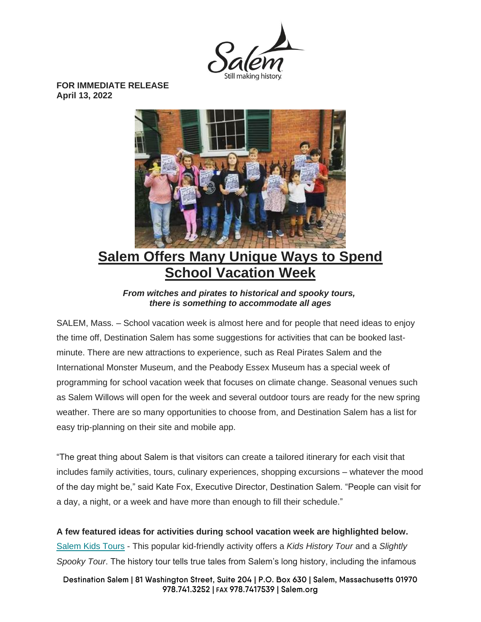

**FOR IMMEDIATE RELEASE April 13, 2022**



# **Salem Offers Many Unique Ways to Spend School Vacation Week**

*From witches and pirates to historical and spooky tours, there is something to accommodate all ages*

SALEM, Mass. – School vacation week is almost here and for people that need ideas to enjoy the time off, Destination Salem has some suggestions for activities that can be booked lastminute. There are new attractions to experience, such as Real Pirates Salem and the International Monster Museum, and the Peabody Essex Museum has a special week of programming for school vacation week that focuses on climate change. Seasonal venues such as Salem Willows will open for the week and several outdoor tours are ready for the new spring weather. There are so many opportunities to choose from, and Destination Salem has a list for easy trip-planning on their site and mobile app.

"The great thing about Salem is that visitors can create a tailored itinerary for each visit that includes family activities, tours, culinary experiences, shopping excursions – whatever the mood of the day might be," said Kate Fox, Executive Director, Destination Salem. "People can visit for a day, a night, or a week and have more than enough to fill their schedule."

**A few featured ideas for activities during school vacation week are highlighted below.** [Salem Kids Tours](https://salemkidstours.com/) - This popular kid-friendly activity offers a *Kids History Tour* and a *Slightly Spooky Tour*. The history tour tells true tales from Salem's long history, including the infamous

Destination Salem | 81 Washington Street, Suite 204 | P.O. Box 630 | Salem, Massachusetts 01970 978.741.3252 | FAX 978.7417539 | Salem.org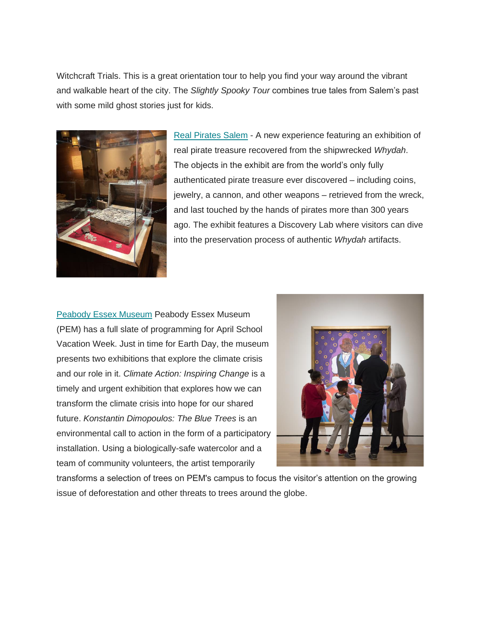Witchcraft Trials. This is a great orientation tour to help you find your way around the vibrant and walkable heart of the city. The *Slightly Spooky Tour* combines true tales from Salem's past with some mild ghost stories just for kids.



[Real Pirates Salem](https://realpiratessalem.com/) - A new experience featuring an exhibition of real pirate treasure recovered from the shipwrecked *Whydah*. The objects in the exhibit are from the world's only fully authenticated pirate treasure ever discovered – including coins, jewelry, a cannon, and other weapons – retrieved from the wreck, and last touched by the hands of pirates more than 300 years ago. The exhibit features a Discovery Lab where visitors can dive into the preservation process of authentic *Whydah* artifacts.

[Peabody Essex Museum](https://www.pem.org/) Peabody Essex Museum (PEM) has a full slate of programming for April School Vacation Week. Just in time for Earth Day, the museum presents two exhibitions that explore the climate crisis and our role in it. *Climate Action: Inspiring Change* is a timely and urgent exhibition that explores how we can transform the climate crisis into hope for our shared future. *Konstantin Dimopoulos: The Blue Trees* is an environmental call to action in the form of a participatory installation. Using a biologically-safe watercolor and a team of community volunteers, the artist temporarily



transforms a selection of trees on PEM's campus to focus the visitor's attention on the growing issue of deforestation and other threats to trees around the globe.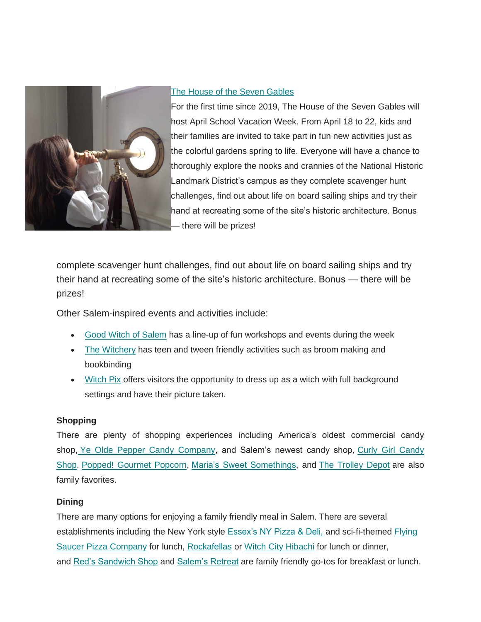

### [The House of the Seven Gables](https://7gables.org/)

For the first time since 2019, The House of the Seven Gables will host April School Vacation Week. From April 18 to 22, kids and their families are invited to take part in fun new activities just as the colorful gardens spring to life. Everyone will have a chance to thoroughly explore the nooks and crannies of the National Historic Landmark District's campus as they complete scavenger hunt challenges, find out about life on board sailing ships and try their hand at recreating some of the site's historic architecture. Bonus there will be prizes!

complete scavenger hunt challenges, find out about life on board sailing ships and try their hand at recreating some of the site's historic architecture. Bonus — there will be prizes!

Other Salem-inspired events and activities include:

- [Good Witch of Salem](https://goodwitchofsalem.com/) has a line-up of fun workshops and events during the week
- [The Witchery](https://thewitcherysalem.com/) has teen and tween friendly activities such as broom making and bookbinding
- [Witch Pix](https://www.witchpix.com/) offers visitors the opportunity to dress up as a witch with full background settings and have their picture taken.

## **Shopping**

There are plenty of shopping experiences including America's oldest commercial candy shop, [Ye Olde Pepper Candy Company,](https://www.oldepeppercandy.com/) and Salem's newest candy shop, [Curly Girl Candy](https://www.curlygirlcandy.com/)  [Shop.](https://www.curlygirlcandy.com/) [Popped! Gourmet Popcorn,](https://www.poppedstores.com/contact-us) [Maria's Sweet Somethings,](https://mariassweetsomethings.com/) and [The Trolley Depot](https://www.trolleydepot.com/) are also family favorites.

## **Dining**

There are many options for enjoying a family friendly meal in Salem. There are several establishments including the New York style [Essex's NY Pizza & Deli,](https://essexsnypizza.com/) and sci-fi-themed [Flying](https://www.flyingsaucerpizzacompany.com/)  [Saucer Pizza Company](https://www.flyingsaucerpizzacompany.com/) for lunch, [Rockafellas](https://rockafellasofsalem.com/) or [Witch City Hibachi](https://www.witchcityhibachi.com/) for lunch or dinner, and [Red's Sandwich Shop](https://www.redskitchenandtavern.com/reds-sandwich-shop-home) and [Salem's Retreat](https://www.salemsretreat.com/) are family friendly go-tos for breakfast or lunch.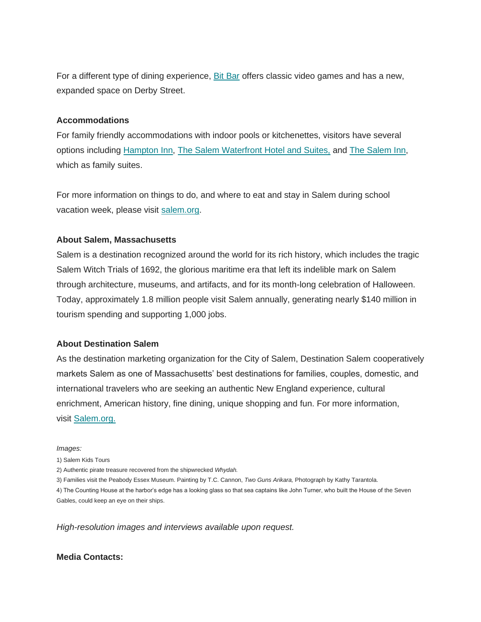For a different type of dining experience, [Bit Bar](https://bit.bar/) offers classic video games and has a new, expanded space on Derby Street.

#### **Accommodations**

For family friendly accommodations with indoor pools or kitchenettes, visitors have several options including [Hampton Inn,](https://www.hilton.com/en/hotels/bossahx-hampton-inn-salem-boston/?SEO_id=GMB-AMER-HX-BOSSAHX&y_source=1_MTc0NzQ2MjgtNzE1LWxvY2F0aW9uLndlYnNpdGU%3D) [The Salem Waterfront Hotel and Suites,](https://salemwaterfronthotel.com/?gclid=CjwKCAjw6dmSBhBkEiwA_W-EoDuWrdCHGRjkRcRjJ9vXOat70vWi-dlLYdMl7iQhNklgYcsKpG5AlRoC2esQAvD_BwE) and [The Salem Inn,](https://saleminnma.com/) which as family suites.

For more information on things to do, and where to eat and stay in Salem during school vacation week, please visit [salem.org.](http://www.salem.org/)

#### **About Salem, Massachusetts**

Salem is a destination recognized around the world for its rich history, which includes the tragic Salem Witch Trials of 1692, the glorious maritime era that left its indelible mark on Salem through architecture, museums, and artifacts, and for its month-long celebration of Halloween. Today, approximately 1.8 million people visit Salem annually, generating nearly \$140 million in tourism spending and supporting 1,000 jobs.

#### **About Destination Salem**

As the destination marketing organization for the City of Salem, Destination Salem cooperatively markets Salem as one of Massachusetts' best destinations for families, couples, domestic, and international travelers who are seeking an authentic New England experience, cultural enrichment, American history, fine dining, unique shopping and fun. For more information, visit [Salem.org.](http://www.salem.org/)

#### *Images:*

1) Salem Kids Tours

- 2) Authentic pirate treasure recovered from the shipwrecked *Whydah.*
- 3) Families visit the Peabody Essex Museum. Painting by T.C. Cannon, *Two Guns Arikara,* Photograph by Kathy Tarantola.

4) The Counting House at the harbor's edge has a looking glass so that sea captains like John Turner, who built the House of the Seven Gables, could keep an eye on their ships.

*High-resolution images and interviews available upon request.*

#### **Media Contacts:**